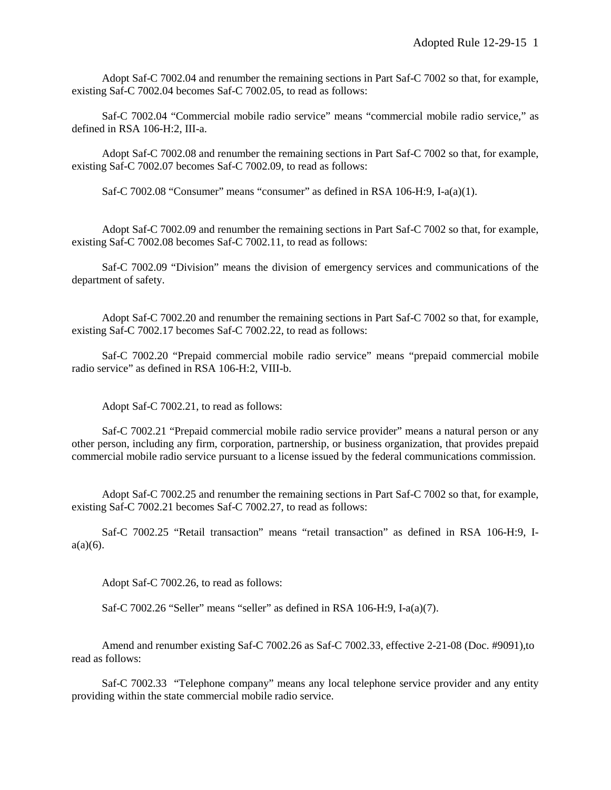Adopt Saf-C 7002.04 and renumber the remaining sections in Part Saf-C 7002 so that, for example, existing Saf-C 7002.04 becomes Saf-C 7002.05, to read as follows:

Saf-C 7002.04 "Commercial mobile radio service" means "commercial mobile radio service," as defined in RSA 106-H:2, III-a.

Adopt Saf-C 7002.08 and renumber the remaining sections in Part Saf-C 7002 so that, for example, existing Saf-C 7002.07 becomes Saf-C 7002.09, to read as follows:

Saf-C 7002.08 "Consumer" means "consumer" as defined in RSA 106-H:9, I-a(a)(1).

Adopt Saf-C 7002.09 and renumber the remaining sections in Part Saf-C 7002 so that, for example, existing Saf-C 7002.08 becomes Saf-C 7002.11, to read as follows:

Saf-C 7002.09 "Division" means the division of emergency services and communications of the department of safety.

Adopt Saf-C 7002.20 and renumber the remaining sections in Part Saf-C 7002 so that, for example, existing Saf-C 7002.17 becomes Saf-C 7002.22, to read as follows:

Saf-C 7002.20 "Prepaid commercial mobile radio service" means "prepaid commercial mobile radio service" as defined in RSA 106-H:2, VIII-b.

Adopt Saf-C 7002.21, to read as follows:

Saf-C 7002.21 "Prepaid commercial mobile radio service provider" means a natural person or any other person, including any firm, corporation, partnership, or business organization, that provides prepaid commercial mobile radio service pursuant to a license issued by the federal communications commission.

Adopt Saf-C 7002.25 and renumber the remaining sections in Part Saf-C 7002 so that, for example, existing Saf-C 7002.21 becomes Saf-C 7002.27, to read as follows:

Saf-C 7002.25 "Retail transaction" means "retail transaction" as defined in RSA 106-H:9, I $a(a)(6)$ .

Adopt Saf-C 7002.26, to read as follows:

Saf-C 7002.26 "Seller" means "seller" as defined in RSA 106-H:9, I-a(a)(7).

Amend and renumber existing Saf-C 7002.26 as Saf-C 7002.33, effective 2-21-08 (Doc. #9091),to read as follows:

Saf-C 7002.33 "Telephone company" means any local telephone service provider and any entity providing within the state commercial mobile radio service.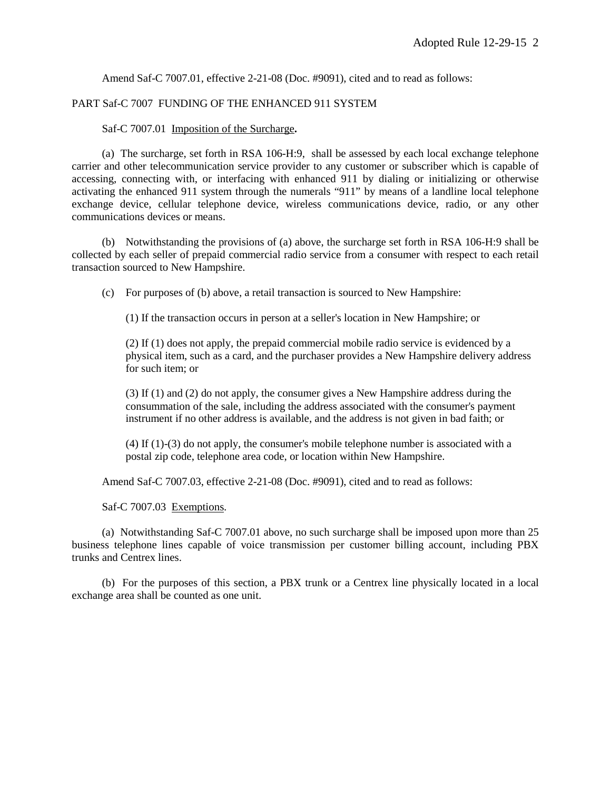Amend Saf-C 7007.01, effective 2-21-08 (Doc. #9091), cited and to read as follows:

## PART Saf-C 7007 FUNDING OF THE ENHANCED 911 SYSTEM

## Saf-C 7007.01 Imposition of the Surcharge**.**

(a) The surcharge, set forth in RSA 106-H:9, shall be assessed by each local exchange telephone carrier and other telecommunication service provider to any customer or subscriber which is capable of accessing, connecting with, or interfacing with enhanced 911 by dialing or initializing or otherwise activating the enhanced 911 system through the numerals "911" by means of a landline local telephone exchange device, cellular telephone device, wireless communications device, radio, or any other communications devices or means.

(b) Notwithstanding the provisions of (a) above, the surcharge set forth in RSA 106-H:9 shall be collected by each seller of prepaid commercial radio service from a consumer with respect to each retail transaction sourced to New Hampshire.

(c) For purposes of (b) above, a retail transaction is sourced to New Hampshire:

(1) If the transaction occurs in person at a seller's location in New Hampshire; or

(2) If (1) does not apply, the prepaid commercial mobile radio service is evidenced by a physical item, such as a card, and the purchaser provides a New Hampshire delivery address for such item; or

(3) If (1) and (2) do not apply, the consumer gives a New Hampshire address during the consummation of the sale, including the address associated with the consumer's payment instrument if no other address is available, and the address is not given in bad faith; or

(4) If (1)-(3) do not apply, the consumer's mobile telephone number is associated with a postal zip code, telephone area code, or location within New Hampshire.

Amend Saf-C 7007.03, effective 2-21-08 (Doc. #9091), cited and to read as follows:

Saf-C 7007.03 Exemptions.

(a) Notwithstanding Saf-C 7007.01 above, no such surcharge shall be imposed upon more than 25 business telephone lines capable of voice transmission per customer billing account, including PBX trunks and Centrex lines.

(b) For the purposes of this section, a PBX trunk or a Centrex line physically located in a local exchange area shall be counted as one unit.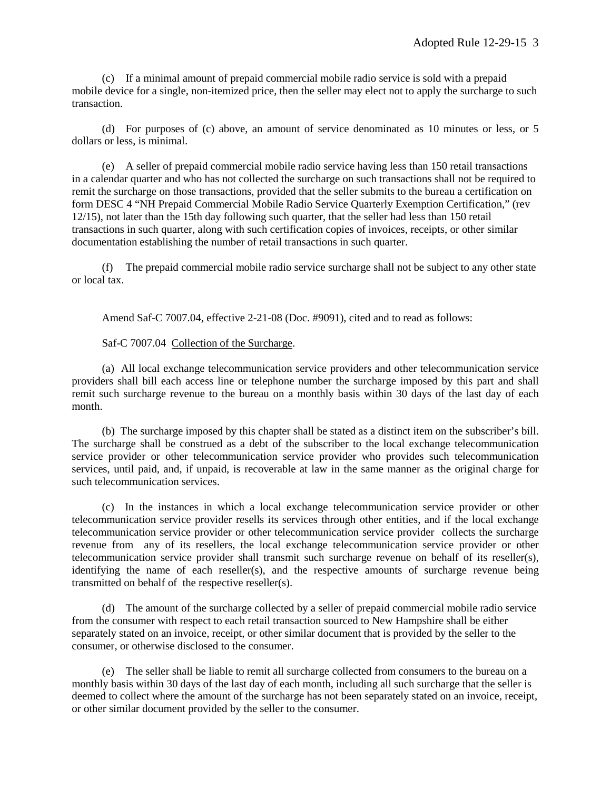(c) If a minimal amount of prepaid commercial mobile radio service is sold with a prepaid mobile device for a single, non-itemized price, then the seller may elect not to apply the surcharge to such transaction.

(d) For purposes of (c) above, an amount of service denominated as 10 minutes or less, or 5 dollars or less, is minimal.

(e) A seller of prepaid commercial mobile radio service having less than 150 retail transactions in a calendar quarter and who has not collected the surcharge on such transactions shall not be required to remit the surcharge on those transactions, provided that the seller submits to the bureau a certification on form DESC 4 "NH Prepaid Commercial Mobile Radio Service Quarterly Exemption Certification," (rev 12/15), not later than the 15th day following such quarter, that the seller had less than 150 retail transactions in such quarter, along with such certification copies of invoices, receipts, or other similar documentation establishing the number of retail transactions in such quarter.

(f) The prepaid commercial mobile radio service surcharge shall not be subject to any other state or local tax.

Amend Saf-C 7007.04, effective 2-21-08 (Doc. #9091), cited and to read as follows:

Saf-C 7007.04 Collection of the Surcharge.

(a) All local exchange telecommunication service providers and other telecommunication service providers shall bill each access line or telephone number the surcharge imposed by this part and shall remit such surcharge revenue to the bureau on a monthly basis within 30 days of the last day of each month.

(b) The surcharge imposed by this chapter shall be stated as a distinct item on the subscriber's bill. The surcharge shall be construed as a debt of the subscriber to the local exchange telecommunication service provider or other telecommunication service provider who provides such telecommunication services, until paid, and, if unpaid, is recoverable at law in the same manner as the original charge for such telecommunication services.

(c) In the instances in which a local exchange telecommunication service provider or other telecommunication service provider resells its services through other entities, and if the local exchange telecommunication service provider or other telecommunication service provider collects the surcharge revenue from any of its resellers, the local exchange telecommunication service provider or other telecommunication service provider shall transmit such surcharge revenue on behalf of its reseller(s), identifying the name of each reseller(s), and the respective amounts of surcharge revenue being transmitted on behalf of the respective reseller(s).

(d) The amount of the surcharge collected by a seller of prepaid commercial mobile radio service from the consumer with respect to each retail transaction sourced to New Hampshire shall be either separately stated on an invoice, receipt, or other similar document that is provided by the seller to the consumer, or otherwise disclosed to the consumer.

(e) The seller shall be liable to remit all surcharge collected from consumers to the bureau on a monthly basis within 30 days of the last day of each month, including all such surcharge that the seller is deemed to collect where the amount of the surcharge has not been separately stated on an invoice, receipt, or other similar document provided by the seller to the consumer.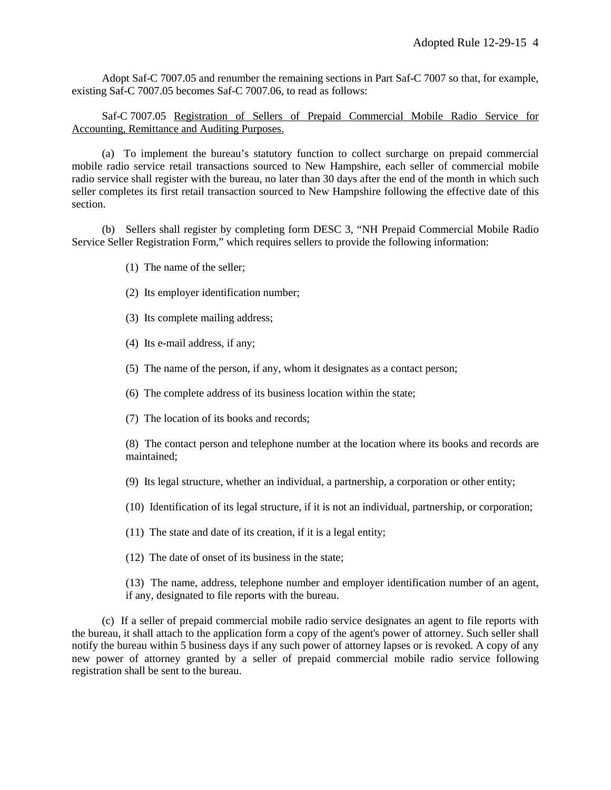Adopt Saf-C 7007.05 and renumber the remaining sections in Part Saf-C 7007 so that, for example, existing Saf-C 7007.05 becomes Saf-C 7007.06, to read as follows:

Saf-C 7007.05 Registration of Sellers of Prepaid Commercial Mobile Radio Service for Accounting, Remittance and Auditing Purposes.

(a) To implement the bureau's statutory function to collect surcharge on prepaid commercial mobile radio service retail transactions sourced to New Hampshire, each seller of commercial mobile radio service shall register with the bureau, no later than 30 days after the end of the month in which such seller completes its first retail transaction sourced to New Hampshire following the effective date of this section.

(b) Sellers shall register by completing form DESC 3, "NH Prepaid Commercial Mobile Radio Service Seller Registration Form," which requires sellers to provide the following information:

- (1) The name of the seller;
- (2) Its employer identification number;
- (3) Its complete mailing address;
- (4) Its e-mail address, if any;
- (5) The name of the person, if any, whom it designates as a contact person;
- (6) The complete address of its business location within the state;
- (7) The location of its books and records;

(8) The contact person and telephone number at the location where its books and records are maintained;

- (9) Its legal structure, whether an individual, a partnership, a corporation or other entity;
- (10) Identification of its legal structure, if it is not an individual, partnership, or corporation;
- (11) The state and date of its creation, if it is a legal entity;
- (12) The date of onset of its business in the state;

(13) The name, address, telephone number and employer identification number of an agent, if any, designated to file reports with the bureau.

(c) If a seller of prepaid commercial mobile radio service designates an agent to file reports with the bureau, it shall attach to the application form a copy of the agent's power of attorney. Such seller shall notify the bureau within 5 business days if any such power of attorney lapses or is revoked. A copy of any new power of attorney granted by a seller of prepaid commercial mobile radio service following registration shall be sent to the bureau.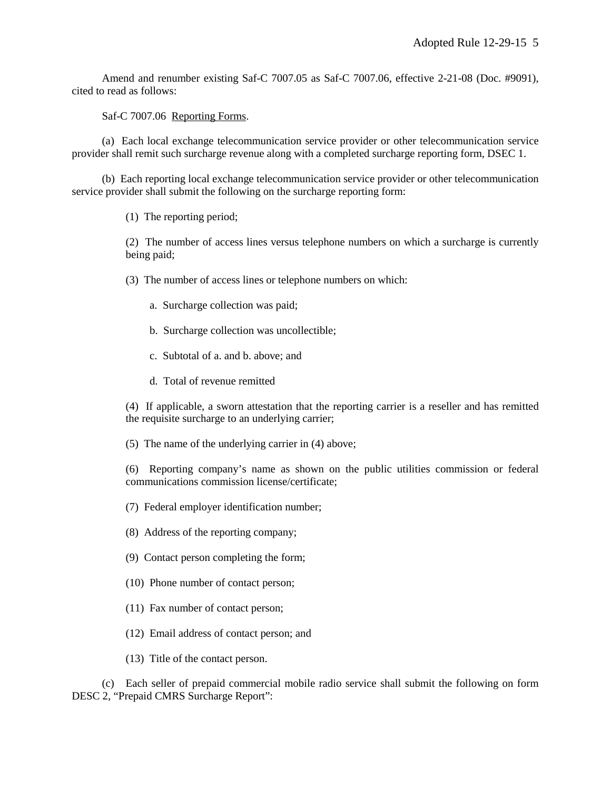Amend and renumber existing Saf-C 7007.05 as Saf-C 7007.06, effective 2-21-08 (Doc. #9091), cited to read as follows:

Saf-C 7007.06 Reporting Forms.

(a) Each local exchange telecommunication service provider or other telecommunication service provider shall remit such surcharge revenue along with a completed surcharge reporting form, DSEC 1.

(b) Each reporting local exchange telecommunication service provider or other telecommunication service provider shall submit the following on the surcharge reporting form:

(1) The reporting period;

(2) The number of access lines versus telephone numbers on which a surcharge is currently being paid;

(3) The number of access lines or telephone numbers on which:

- a. Surcharge collection was paid;
- b. Surcharge collection was uncollectible;
- c. Subtotal of a. and b. above; and
- d. Total of revenue remitted

(4) If applicable, a sworn attestation that the reporting carrier is a reseller and has remitted the requisite surcharge to an underlying carrier;

(5) The name of the underlying carrier in (4) above;

(6) Reporting company's name as shown on the public utilities commission or federal communications commission license/certificate;

- (7) Federal employer identification number;
- (8) Address of the reporting company;
- (9) Contact person completing the form;
- (10) Phone number of contact person;
- (11) Fax number of contact person;
- (12) Email address of contact person; and
- (13) Title of the contact person.

(c) Each seller of prepaid commercial mobile radio service shall submit the following on form DESC 2, "Prepaid CMRS Surcharge Report":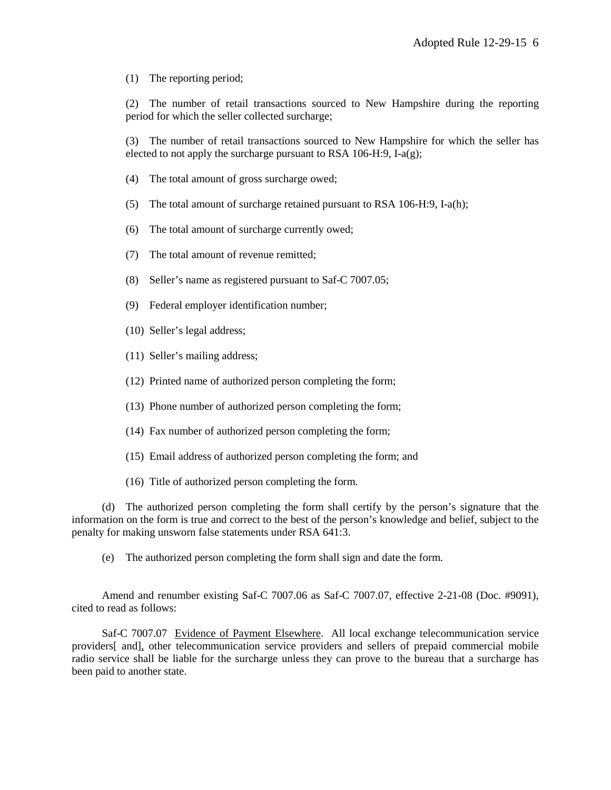(1) The reporting period;

(2) The number of retail transactions sourced to New Hampshire during the reporting period for which the seller collected surcharge;

(3) The number of retail transactions sourced to New Hampshire for which the seller has elected to not apply the surcharge pursuant to RSA 106-H:9, I-a(g);

- (4) The total amount of gross surcharge owed;
- (5) The total amount of surcharge retained pursuant to RSA 106-H:9, I-a(h);
- (6) The total amount of surcharge currently owed;
- (7) The total amount of revenue remitted;
- (8) Seller's name as registered pursuant to Saf-C 7007.05;
- (9) Federal employer identification number;
- (10) Seller's legal address;
- (11) Seller's mailing address;
- (12) Printed name of authorized person completing the form;
- (13) Phone number of authorized person completing the form;
- (14) Fax number of authorized person completing the form;
- (15) Email address of authorized person completing the form; and
- (16) Title of authorized person completing the form.

(d) The authorized person completing the form shall certify by the person's signature that the information on the form is true and correct to the best of the person's knowledge and belief, subject to the penalty for making unsworn false statements under RSA 641:3.

(e) The authorized person completing the form shall sign and date the form.

Amend and renumber existing Saf-C 7007.06 as Saf-C 7007.07, effective 2-21-08 (Doc. #9091), cited to read as follows:

Saf-C 7007.07 Evidence of Payment Elsewhere. All local exchange telecommunication service providers[ and], other telecommunication service providers and sellers of prepaid commercial mobile radio service shall be liable for the surcharge unless they can prove to the bureau that a surcharge has been paid to another state.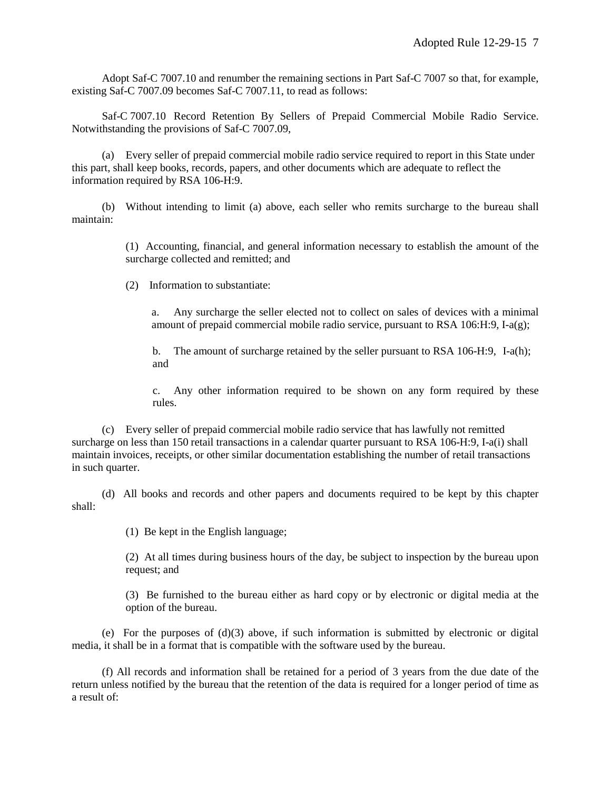Adopt Saf-C 7007.10 and renumber the remaining sections in Part Saf-C 7007 so that, for example, existing Saf-C 7007.09 becomes Saf-C 7007.11, to read as follows:

Saf-C 7007.10 Record Retention By Sellers of Prepaid Commercial Mobile Radio Service. Notwithstanding the provisions of Saf-C 7007.09,

(a) Every seller of prepaid commercial mobile radio service required to report in this State under this part, shall keep books, records, papers, and other documents which are adequate to reflect the information required by RSA 106-H:9.

(b) Without intending to limit (a) above, each seller who remits surcharge to the bureau shall maintain:

> (1) Accounting, financial, and general information necessary to establish the amount of the surcharge collected and remitted; and

(2) Information to substantiate:

a. Any surcharge the seller elected not to collect on sales of devices with a minimal amount of prepaid commercial mobile radio service, pursuant to RSA 106:H:9, I-a(g);

b. The amount of surcharge retained by the seller pursuant to RSA 106-H:9, I-a(h); and

c. Any other information required to be shown on any form required by these rules.

(c) Every seller of prepaid commercial mobile radio service that has lawfully not remitted surcharge on less than 150 retail transactions in a calendar quarter pursuant to RSA 106-H:9, I-a(i) shall maintain invoices, receipts, or other similar documentation establishing the number of retail transactions in such quarter.

(d) All books and records and other papers and documents required to be kept by this chapter shall:

(1) Be kept in the English language;

(2) At all times during business hours of the day, be subject to inspection by the bureau upon request; and

(3) Be furnished to the bureau either as hard copy or by electronic or digital media at the option of the bureau.

(e) For the purposes of  $(d)(3)$  above, if such information is submitted by electronic or digital media, it shall be in a format that is compatible with the software used by the bureau.

(f) All records and information shall be retained for a period of 3 years from the due date of the return unless notified by the bureau that the retention of the data is required for a longer period of time as a result of: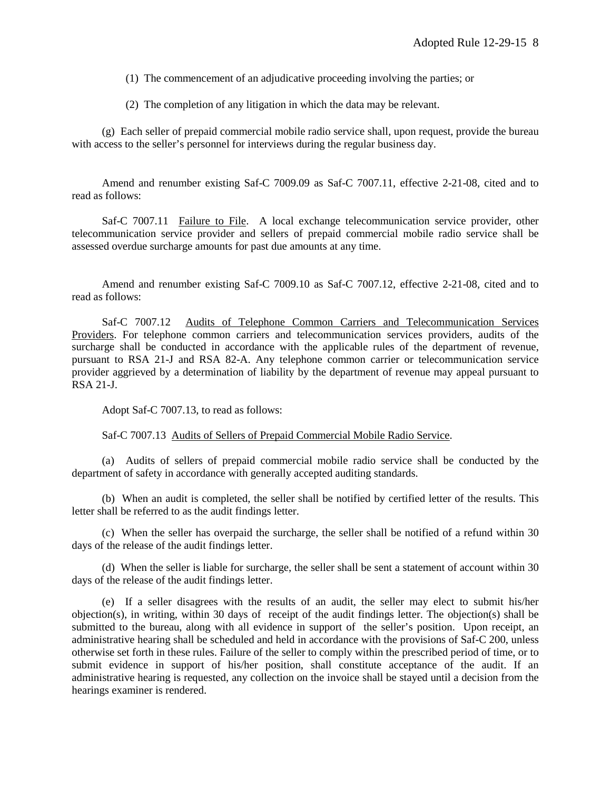(1) The commencement of an adjudicative proceeding involving the parties; or

(2) The completion of any litigation in which the data may be relevant.

(g) Each seller of prepaid commercial mobile radio service shall, upon request, provide the bureau with access to the seller's personnel for interviews during the regular business day.

Amend and renumber existing Saf-C 7009.09 as Saf-C 7007.11, effective 2-21-08, cited and to read as follows:

Saf-C 7007.11 Failure to File. A local exchange telecommunication service provider, other telecommunication service provider and sellers of prepaid commercial mobile radio service shall be assessed overdue surcharge amounts for past due amounts at any time.

Amend and renumber existing Saf-C 7009.10 as Saf-C 7007.12, effective 2-21-08, cited and to read as follows:

Saf-C 7007.12 Audits of Telephone Common Carriers and Telecommunication Services Providers. For telephone common carriers and telecommunication services providers, audits of the surcharge shall be conducted in accordance with the applicable rules of the department of revenue, pursuant to RSA 21-J and RSA 82-A. Any telephone common carrier or telecommunication service provider aggrieved by a determination of liability by the department of revenue may appeal pursuant to RSA 21-J.

Adopt Saf-C 7007.13, to read as follows:

Saf-C 7007.13 Audits of Sellers of Prepaid Commercial Mobile Radio Service.

(a) Audits of sellers of prepaid commercial mobile radio service shall be conducted by the department of safety in accordance with generally accepted auditing standards.

(b) When an audit is completed, the seller shall be notified by certified letter of the results. This letter shall be referred to as the audit findings letter.

(c) When the seller has overpaid the surcharge, the seller shall be notified of a refund within 30 days of the release of the audit findings letter.

(d) When the seller is liable for surcharge, the seller shall be sent a statement of account within 30 days of the release of the audit findings letter.

(e) If a seller disagrees with the results of an audit, the seller may elect to submit his/her objection(s), in writing, within 30 days of receipt of the audit findings letter. The objection(s) shall be submitted to the bureau, along with all evidence in support of the seller's position. Upon receipt, an administrative hearing shall be scheduled and held in accordance with the provisions of Saf-C 200, unless otherwise set forth in these rules. Failure of the seller to comply within the prescribed period of time, or to submit evidence in support of his/her position, shall constitute acceptance of the audit. If an administrative hearing is requested, any collection on the invoice shall be stayed until a decision from the hearings examiner is rendered.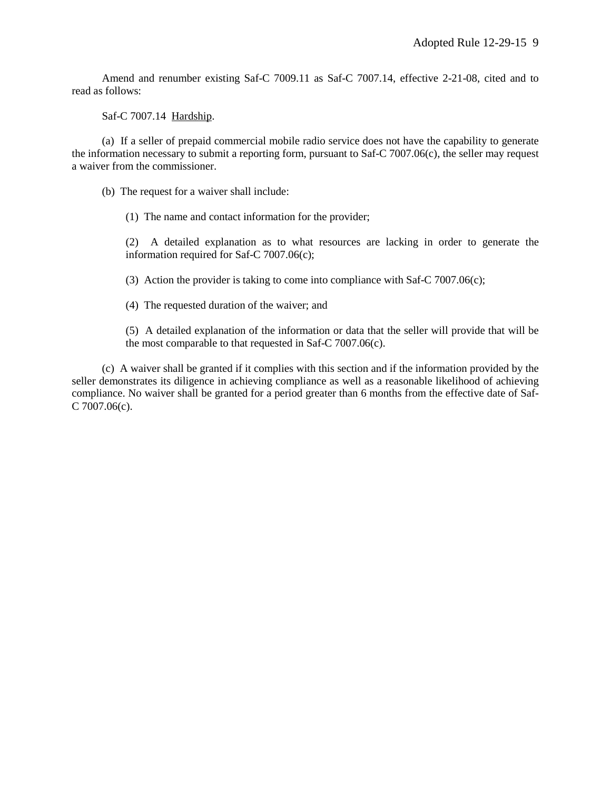Amend and renumber existing Saf-C 7009.11 as Saf-C 7007.14, effective 2-21-08, cited and to read as follows:

Saf-C 7007.14 Hardship.

(a) If a seller of prepaid commercial mobile radio service does not have the capability to generate the information necessary to submit a reporting form, pursuant to Saf-C 7007.06(c), the seller may request a waiver from the commissioner.

(b) The request for a waiver shall include:

(1) The name and contact information for the provider;

(2) A detailed explanation as to what resources are lacking in order to generate the information required for Saf-C 7007.06(c);

(3) Action the provider is taking to come into compliance with Saf-C 7007.06(c);

(4) The requested duration of the waiver; and

(5) A detailed explanation of the information or data that the seller will provide that will be the most comparable to that requested in Saf-C 7007.06(c).

(c) A waiver shall be granted if it complies with this section and if the information provided by the seller demonstrates its diligence in achieving compliance as well as a reasonable likelihood of achieving compliance. No waiver shall be granted for a period greater than 6 months from the effective date of Saf-C 7007.06(c).